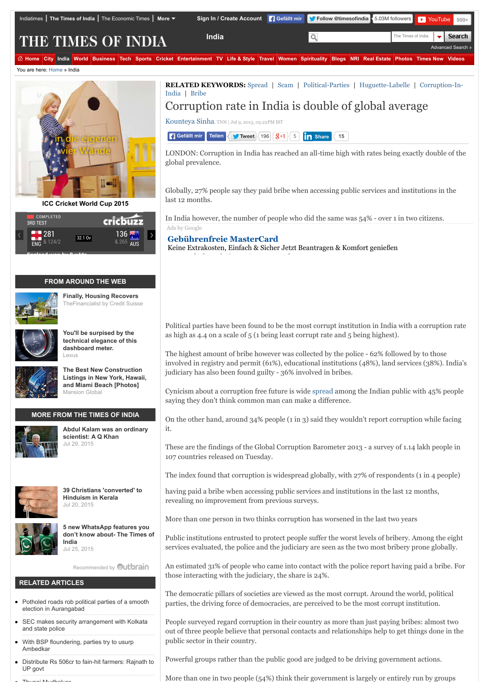@ [Home](http://timesofindia.indiatimes.com/) [City](http://timesofindia.indiatimes.com/city/cityarticlelist/-2128932452.cms) [India](http://timesofindia.indiatimes.com/india/indiaarticlelist/-2128936835.cms) [World](http://timesofindia.indiatimes.com/world/worldarticlelist/296589292.cms) [Business](http://timesofindia.indiatimes.com/business/bizarticlelist/1898055.cms) [Tech](http://timesofindia.indiatimes.com/tech/techhome/5880659.cms) [Sports](http://timesofindia.indiatimes.com/sports) [Cricket](http://www.gocricket.com/) [Entertainment](http://timesofindia.indiatimes.com/entertainment/articlelistls/1081479906.cms) [TV](http://timesofindia.indiatimes.com/tv/hindi/tvhome/17781976.cms) [Life & Style](http://timesofindia.indiatimes.com/life-style/articlelistls/2886704.cms) [Travel](http://www.happytrips.com/) [Women](http://idiva.com/indextoi.html) [Spirituality](http://timesofindia.speakingtree.in/) [Blogs](http://blogs.timesofindia.indiatimes.com/?utm_source=NavL1&utm_medium=Old&utm_campaign=TOIHP) [NRI](http://timesofindia.indiatimes.com/nrihome.cms) [Real Estate](http://content.magicbricks.com/?fromSite=toi&utm_source=toi&utm_medium=referral&utm_campaign=toi-mb-navbar) [Photos](http://photogallery.indiatimes.com/) [Times Now](http://www.timesnow.tv/) [Videos](http://timesofindia.indiatimes.com/videos)

You are here: [Home](http://timesofindia.indiatimes.com/) » India



**[ICC Cricket World Cup 2015](http://timesofindia.indiatimes.com/sports/icc-world-cup-2015/sphome/4719161.cms)**

| COMPLETED<br><b>3RD TEST</b> |         |                  |  |
|------------------------------|---------|------------------|--|
| & 124/2<br><b>ENG</b>        | 32.1 Ov | 87<br><b>AUS</b> |  |

## **FROM AROUND THE WEB**



**England won by 8 wkts**

**[Finally, Housing Recovers](http://www.thefinancialist.com/finally-housing-recovers/?utm_source=outbrain&utm_medium=cpc&utm_campaign=the_financialist_main_newer_content&utm_content=41225566&utm_term=4778206)** TheFinancialist by Credit Suisse



**You'll be surpised by the [technical elegance of this](http://www.lexus-int.com/magazine/issue2/element?utm_source=outbrain&utm_medium=referral&utm_content=magazine-issue2-element-type01&utm_campaign=magazine) dashboard meter.** Lexus



**The Best New Construction [Listings in New York, Hawaii,](http://www.mansionglobal.com/developments?mod=mansiongl_AdGroup25_Outbrain_July24) and Miami Beach [Photos]** Mansion Global

## **MORE FROM THE TIMES OF INDIA**



**[Abdul Kalam was an ordinary](http://timesofindia.indiatimes.com/india/Abdul-Kalam-was-an-ordinary-scientist-A-Q-Khan/articleshow/48264798.cms?intenttarget=no) scientist: A Q Khan** Jul 29, 2015



**[39 Christians 'converted' to](http://timesofindia.indiatimes.com/india/39-Christians-converted-to-Hinduism-in-Kerala/articleshow/48139149.cms?intenttarget=no) Hinduism in Kerala** Jul 20, 2015



**5 new WhatsApp features you [don't know about- The Times of](http://timesofindia.indiatimes.com/tech/5-new-whatsapp-features-you-dont-know-about/itslideshow/48182985.cms?intenttarget=no) India** Jul 25, 2015

[Recommended by](http://timesofindia.indiatimes.com/india/Corruption-rate-in-India-is-double-of-global-average/articleshow/20988518.cms#) **Outbrain** 

#### **RELATED ARTICLES**

- [Potholed roads rob political parties of a smooth](http://timesofindia.indiatimes.com/city/aurangabad/Potholed-roads-rob-political-parties-of-a-smooth-election-in-Aurangabad/articleshow/46939855.cms) election in Aurangabad
- [SEC makes security arrangement with Kolkata](http://timesofindia.indiatimes.com/city/kolkata/SEC-makes-security-arrangement-with-Kolkata-and-state-police/articleshow/46869437.cms) and state police
- [With BSP floundering, parties try to usurp](http://timesofindia.indiatimes.com/india/With-BSP-floundering-parties-try-to-usurp-Ambedkar/articleshow/46884566.cms) Ambedkar
- [Distribute Rs 506cr to fain-hit farmers: Rajnath to](http://timesofindia.indiatimes.com/india/Distribute-Rs-506cr-to-fain-hit-farmers-Rajnath-to-UP-govt/articleshow/46947164.cms) UP govt
- [Thunai Mudhalvar](http://timesofindia.indiatimes.com/entertainment/tamil/movie%20reviews/Thunai-Mudhalvar/articleshow/46890451.cms)

**[RELATED KEYWORDS:](http://timesofindia.indiatimes.com/topic/Corruption-in-India)** [Spread](http://timesofindia.indiatimes.com/topic/spread) | [Scam](http://timesofindia.indiatimes.com/topic/Scam) | [Political-Parties](http://timesofindia.indiatimes.com/topic/political-parties) | [Huguette-Labelle](http://timesofindia.indiatimes.com/topic/Huguette-Labelle) | Corruption-In-India | [Bribe](http://timesofindia.indiatimes.com/topic/bribe)

# Corruption rate in India is double of global average

[Kounteya Sinha,](http://timesofindia.indiatimes.com/toireporter/author-Kounteya-Sinha.cms) TNN | Jul 9, 2013, 05.22PM IST

**Gefällt mir Teilen < 15** [Tweet](https://twitter.com/intent/tweet?original_referer=http%3A%2F%2Ftimesofindia.indiatimes.com%2Findia%2FCorruption-rate-in-India-is-double-of-global-average%2Farticleshow%2F20988518.cms&ref_src=twsrc%5Etfw&text=Corruption%20rate%20in%20India%20is%20double%20of%20global%20average&tw_p=tweetbutton&url=http%3A%2F%2Ftimesofindia.indiatimes.com%2Findia%2FCorruption-rate-in-India-is-double-of-global-average%2Farticleshow%2F20988518.cms) < [196](https://twitter.com/search?ref_src=twsrc%5Etfw&q=http%3A%2F%2Ftimesofindia.indiatimes.com%2Findia%2FCorruption-rate-in-India-is-double-of-global-average%2Farticleshow%2F20988518.cms) **8 +1** < 5 **| 17** [Share](javascript:void(0);) < 15

LONDON: Corruption in India has reached an all-time high with rates being exactly double of the global prevalence.

Globally, 27% people say they paid bribe when accessing public services and institutions in the last 12 months.

In India however, the number of people who did the same was 54% - over 1 in two citizens. [Ads by Google](https://www.google.com/url?ct=abg&q=https://www.google.com/adsense/support/bin/request.py%3Fcontact%3Dabg_afc%26url%3Dhttp://timesofindia.indiatimes.com/india/Corruption-rate-in-India-is-double-of-global-average/articleshow/20988518.cms%26gl%3DDE%26hl%3Den%26client%3Dca-timesofindia_site_js%26hideleadgen%3D1%26ai0%3DCh5i4WNHAVanfCa7GyAO_vLKQAr3YmKMF9YixnjHonL2hUhABIKjwpgYoAmCVuq6CtAegAeHHwO4DyAEBqQKOW_vj_mGyPqgDAaoE0QFP0K1LMYobsYmxuOQixuUc7q2SsVg-0hcUpQb8mBQJymIV1NPEt1DU6NNiAuqo-svwrsSZhNDnw-lpIsTEeRAhGWuZms_J8k-V60Z7m3Ph0WsJACT9MLZQ2vmBkB1DYu2za5UWVf5Xy-lImYbU67BAZ9ByepH28C2coFNcrOLKLyvwAc7f5qrDlenm4gOoX2MmG9HLq8QUD67cy_Zqum5wEV9exONMXR7m3CS8r42Eqz5QVeIsL7u7LiCaffDgSy_QVoMGIRJCInk1Z-Yi5qy1VogGAYAHh7i_EagHpr4b2AcB%26ai1%3DCSQHkWNHAVanfCa7GyAO_vLKQAo3a7MIGrenc9vkBwI23ARACIKjwpgYoAmCVuq6CtAegAcPk6s8DyAEBqQKOW_vj_mGyPqgDAaoEzgFP0N06O4oYsYmxuOQixuUc7q2SsVg-0hcUpQb8mBQJymIV1NPEt1DU6NNiAuqo-svwrsSZhNDnw-lpIsTEeRAhGWuZms_J8k-V60Z7m3Ph0WsJACT9MLZQ2vmBkB1DYu2za5UWVf5Xy-lImYbU67BAZ9ByepH28C2coFNcrOLKLyvwAc7f5qrDlenm4gOoX2MmG9HLq8QUD67cy_Zqum5wEV9ejOPoRtBIzNP_r418Qci7VxcvK064CtQZXQRjS5rTXjYFKedHI5k1-7nQeYgGAYAHpZuVMKgHpr4b2AcB&usg=AFQjCNFRacJjrJ8I0tfRPoCtzCOSh4VkEw)

**[Gebührenfreie MasterCard](http://www.googleadservices.com/pagead/aclk?sa=L&ai=Ch5i4WNHAVanfCa7GyAO_vLKQAr3YmKMF9YixnjHonL2hUhABIKjwpgYoAmCVuq6CtAegAeHHwO4DyAEBqQKOW_vj_mGyPqgDAaoE0QFP0K1LMYobsYmxuOQixuUc7q2SsVg-0hcUpQb8mBQJymIV1NPEt1DU6NNiAuqo-svwrsSZhNDnw-lpIsTEeRAhGWuZms_J8k-V60Z7m3Ph0WsJACT9MLZQ2vmBkB1DYu2za5UWVf5Xy-lImYbU67BAZ9ByepH28C2coFNcrOLKLyvwAc7f5qrDlenm4gOoX2MmG9HLq8QUD67cy_Zqum5wEV9exONMXR7m3CS8r42Eqz5QVeIsL7u7LiCaffDgSy_QVoMGIRJCInk1Z-Yi5qy1VogGAYAHh7i_EagHpr4b2AcB&num=2&cid=5GiH9K4FPSDnQnhIoUcUyknJ&sig=AOD64_2e_xL7L1ca_sAO30jDEhPgARbCHA&client=ca-timesofindia_site_js&adurl=http://www.gebuhrenfrei.com/index.php%3Fsite%3DGoogle-n%26ban%3DMasterCardGDNTextDeutschland)** Keine Extrakosten, Einfach & Sicher Jetzt Beantragen & Komfort genießen

Political parties have been found to be the most corrupt institution in India with a corruption rate as high as 4.4 on a scale of 5 (1 being least corrupt rate and 5 being highest).

The highest amount of bribe however was collected by the police - 62% followed by to those involved in registry and permit (61%), educational institutions (48%), land services (38%). India's judiciary has also been found guilty - 36% involved in bribes.

Cynicism about a corruption free future is wide [spread](http://timesofindia.indiatimes.com/topic/Spread-(musician)) among the Indian public with 45% people saying they don't think common man can make a difference.

On the other hand, around 34% people (1 in 3) said they wouldn't report corruption while facing it.

These are the findings of the Global Corruption Barometer 2013 - a survey of 1.14 lakh people in 107 countries released on Tuesday.

The index found that corruption is widespread globally, with 27% of respondents (1 in 4 people)

having paid a bribe when accessing public services and institutions in the last 12 months, revealing no improvement from previous surveys.

More than one person in two thinks corruption has worsened in the last two years

Public institutions entrusted to protect people suffer the worst levels of bribery. Among the eight services evaluated, the police and the judiciary are seen as the two most bribery prone globally.

An estimated 31% of people who came into contact with the police report having paid a bribe. For those interacting with the judiciary, the share is 24%.

The democratic pillars of societies are viewed as the most corrupt. Around the world, political parties, the driving force of democracies, are perceived to be the most corrupt institution.

People surveyed regard corruption in their country as more than just paying bribes: almost two out of three people believe that personal contacts and relationships help to get things done in the public sector in their country.

Powerful groups rather than the public good are judged to be driving government actions.

More than one in two people (54%) think their government is largely or entirely run by groups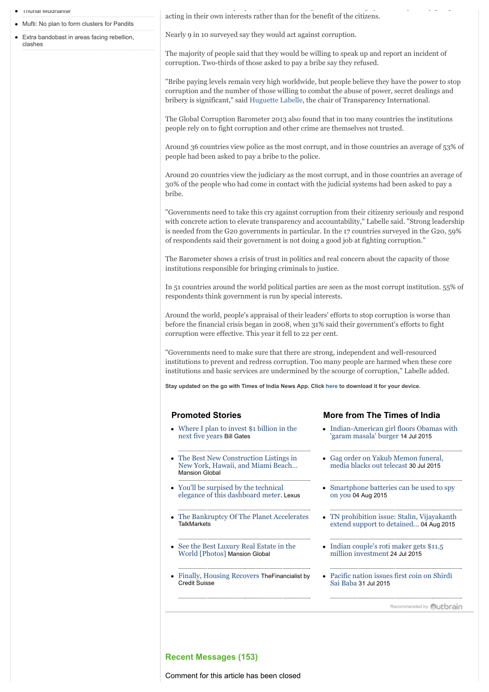|                                                                                               | acting in their own interests rather than for the benefit of the citizens.                                                                                                                                                                                                                                                                                                                        |                                                                                                                     |  |
|-----------------------------------------------------------------------------------------------|---------------------------------------------------------------------------------------------------------------------------------------------------------------------------------------------------------------------------------------------------------------------------------------------------------------------------------------------------------------------------------------------------|---------------------------------------------------------------------------------------------------------------------|--|
| • Mufti: No plan to form clusters for Pandits<br>• Extra bandobast in areas facing rebellion, | Nearly 9 in 10 surveyed say they would act against corruption.                                                                                                                                                                                                                                                                                                                                    |                                                                                                                     |  |
| clashes                                                                                       | The majority of people said that they would be willing to speak up and report an incident of<br>corruption. Two-thirds of those asked to pay a bribe say they refused.                                                                                                                                                                                                                            |                                                                                                                     |  |
|                                                                                               | "Bribe paying levels remain very high worldwide, but people believe they have the power to stop<br>corruption and the number of those willing to combat the abuse of power, secret dealings and<br>bribery is significant," said Huguette Labelle, the chair of Transparency International.                                                                                                       |                                                                                                                     |  |
|                                                                                               | The Global Corruption Barometer 2013 also found that in too many countries the institutions<br>people rely on to fight corruption and other crime are themselves not trusted.                                                                                                                                                                                                                     |                                                                                                                     |  |
|                                                                                               | Around 36 countries view police as the most corrupt, and in those countries an average of 53% of<br>people had been asked to pay a bribe to the police.                                                                                                                                                                                                                                           |                                                                                                                     |  |
|                                                                                               | Around 20 countries view the judiciary as the most corrupt, and in those countries an average of<br>30% of the people who had come in contact with the judicial systems had been asked to pay a<br>bribe.                                                                                                                                                                                         |                                                                                                                     |  |
|                                                                                               | "Governments need to take this cry against corruption from their citizenry seriously and respond<br>with concrete action to elevate transparency and accountability," Labelle said. "Strong leadership<br>is needed from the G20 governments in particular. In the 17 countries surveyed in the G20, 59%<br>of respondents said their government is not doing a good job at fighting corruption." |                                                                                                                     |  |
|                                                                                               | The Barometer shows a crisis of trust in politics and real concern about the capacity of those<br>institutions responsible for bringing criminals to justice.                                                                                                                                                                                                                                     |                                                                                                                     |  |
|                                                                                               | In 51 countries around the world political parties are seen as the most corrupt institution. 55% of<br>respondents think government is run by special interests.                                                                                                                                                                                                                                  |                                                                                                                     |  |
|                                                                                               | Around the world, people's appraisal of their leaders' efforts to stop corruption is worse than<br>before the financial crisis began in 2008, when 31% said their government's efforts to fight<br>corruption were effective. This year it fell to 22 per cent.                                                                                                                                   |                                                                                                                     |  |
|                                                                                               | "Governments need to make sure that there are strong, independent and well-resourced<br>institutions to prevent and redress corruption. Too many people are harmed when these core<br>institutions and basic services are undermined by the scourge of corruption," Labelle added.                                                                                                                |                                                                                                                     |  |
|                                                                                               | Stay updated on the go with Times of India News App. Click here to download it for your device.                                                                                                                                                                                                                                                                                                   |                                                                                                                     |  |
|                                                                                               | <b>Promoted Stories</b>                                                                                                                                                                                                                                                                                                                                                                           | More from The Times of India                                                                                        |  |
|                                                                                               | • Where I plan to invest \$1 billion in the<br>next five years Bill Gates                                                                                                                                                                                                                                                                                                                         | • Indian-American girl floors Obamas with<br>'garam masala' burger 14 Jul 2015                                      |  |
|                                                                                               | The Best New Construction Listings in<br>New York, Hawaii, and Miami Beach<br><b>Mansion Global</b>                                                                                                                                                                                                                                                                                               | • Gag order on Yakub Memon funeral,<br>media blacks out telecast 30 Jul 2015                                        |  |
|                                                                                               |                                                                                                                                                                                                                                                                                                                                                                                                   |                                                                                                                     |  |
|                                                                                               | You'll be surpised by the technical<br>elegance of this dashboard meter. Lexus                                                                                                                                                                                                                                                                                                                    | • Smartphone batteries can be used to spy<br>on you 04 Aug 2015                                                     |  |
|                                                                                               | The Bankruptcy Of The Planet Accelerates<br><b>TalkMarkets</b>                                                                                                                                                                                                                                                                                                                                    | extend support to detained 04 Aug 2015                                                                              |  |
|                                                                                               | See the Best Luxury Real Estate in the<br>World [Photos] Mansion Global                                                                                                                                                                                                                                                                                                                           | • Indian couple's roti maker gets \$11.5<br>million investment 24 Jul 2015                                          |  |
|                                                                                               | Finally, Housing Recovers The Financialist by<br><b>Credit Suisse</b>                                                                                                                                                                                                                                                                                                                             | • TN prohibition issue: Stalin, Vijayakanth<br>• Pacific nation issues first coin on Shirdi<br>Sai Baba 31 Jul 2015 |  |

More than one in two people (54%) think their government is largely run by groups in  $\mathcal{A}$ 

 $\bullet$  [Thunai Mudhalvar](http://timesofindia.indiatimes.com/entertainment/tamil/movie%20reviews/Thunai-Mudhalvar/articleshow/46890451.cms)

# **Recent Messages (153)**

Comment for this article has been closed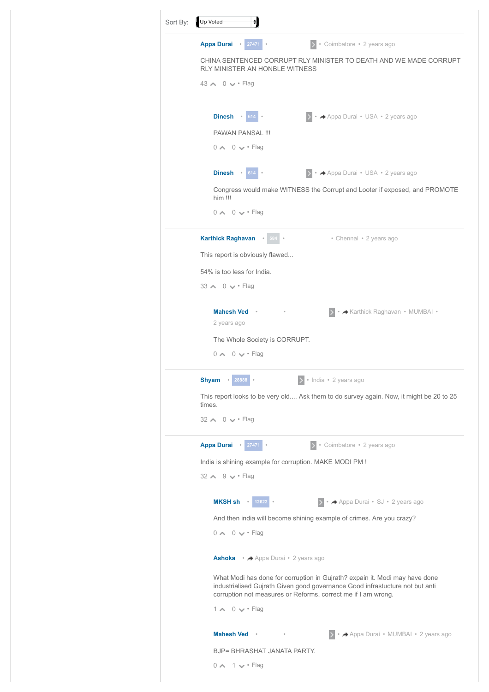| Sort By: | Up Voted                                                                                                                                                                                                                                                        |  |  |
|----------|-----------------------------------------------------------------------------------------------------------------------------------------------------------------------------------------------------------------------------------------------------------------|--|--|
|          | · Coimbatore · 2 years ago<br>Appa Durai · 27471                                                                                                                                                                                                                |  |  |
|          | CHINA SENTENCED CORRUPT RLY MINISTER TO DEATH AND WE MADE CORRUPT<br><b>RLY MINISTER AN HONBLE WITNESS</b>                                                                                                                                                      |  |  |
|          | $43 \wedge 0 \vee \cdot$ Flag                                                                                                                                                                                                                                   |  |  |
|          |                                                                                                                                                                                                                                                                 |  |  |
|          | Dinesh $\cdot$ 614 $\cdot$<br>→ Appa Durai · USA · 2 years ago                                                                                                                                                                                                  |  |  |
|          | <b>PAWAN PANSAL !!!</b>                                                                                                                                                                                                                                         |  |  |
|          | $0 \wedge 0 \vee \cdot$ Flag                                                                                                                                                                                                                                    |  |  |
|          | → + Appa Durai • USA • 2 years ago<br>Dinesh . 614                                                                                                                                                                                                              |  |  |
|          | Congress would make WITNESS the Corrupt and Looter if exposed, and PROMOTE<br>$him !!$                                                                                                                                                                          |  |  |
|          | $0 \wedge 0 \vee \cdot$ Flag                                                                                                                                                                                                                                    |  |  |
|          | <b>Karthick Raghavan</b><br>• Chennai • 2 years ago                                                                                                                                                                                                             |  |  |
|          | This report is obviously flawed                                                                                                                                                                                                                                 |  |  |
|          | 54% is too less for India.                                                                                                                                                                                                                                      |  |  |
|          | $33 \wedge 0 \vee \cdot$ Flag                                                                                                                                                                                                                                   |  |  |
|          | • A Karthick Raghavan • MUMBAI •<br><b>Mahesh Ved</b> .<br>2 years ago                                                                                                                                                                                          |  |  |
|          | The Whole Society is CORRUPT.                                                                                                                                                                                                                                   |  |  |
|          | $0 \wedge 0 \vee \cdot$ Flag                                                                                                                                                                                                                                    |  |  |
|          | Shyam . 28888<br>> India · 2 years ago                                                                                                                                                                                                                          |  |  |
|          | This report looks to be very old Ask them to do survey again. Now, it might be 20 to 25<br>times.                                                                                                                                                               |  |  |
|          | $32 \wedge 0 \vee \cdot$ Flag                                                                                                                                                                                                                                   |  |  |
|          | Appa Durai 27471 .<br>> Coimbatore · 2 years ago                                                                                                                                                                                                                |  |  |
|          | India is shining example for corruption. MAKE MODI PM !                                                                                                                                                                                                         |  |  |
|          | $32 \wedge 9 \vee \cdot$ Flag                                                                                                                                                                                                                                   |  |  |
|          | → + Appa Durai • SJ • 2 years ago<br><b>MKSH sh</b> 12622 .                                                                                                                                                                                                     |  |  |
|          | And then india will become shining example of crimes. Are you crazy?                                                                                                                                                                                            |  |  |
|          | $0 \wedge 0 \vee \cdot$ Flag                                                                                                                                                                                                                                    |  |  |
|          | Ashoka Appa Durai • 2 years ago<br>What Modi has done for corruption in Gujrath? expain it. Modi may have done<br>industrialised Gujrath Given good governance Good infrastucture not but anti<br>corruption not measures or Reforms. correct me if I am wrong. |  |  |
|          |                                                                                                                                                                                                                                                                 |  |  |
|          | $1 \wedge 0 \vee \cdot$ Flag                                                                                                                                                                                                                                    |  |  |
|          | > • Appa Durai • MUMBAI • 2 years ago<br>Mahesh Ved •                                                                                                                                                                                                           |  |  |
|          | <b>BJP= BHRASHAT JANATA PARTY.</b>                                                                                                                                                                                                                              |  |  |
|          | $0 \wedge 1 \vee \cdot$ Flag                                                                                                                                                                                                                                    |  |  |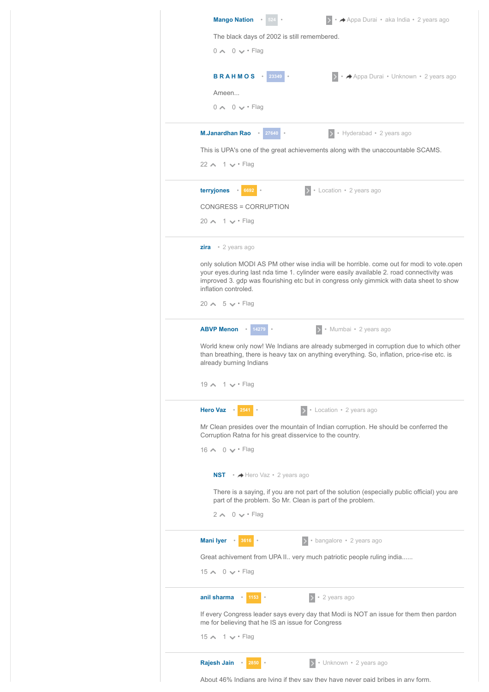| <b>Mango Nation · 524</b><br>  • → Appa Durai • aka India • 2 years ago<br>The black days of 2002 is still remembered.                                                                                                                                                                                      |
|-------------------------------------------------------------------------------------------------------------------------------------------------------------------------------------------------------------------------------------------------------------------------------------------------------------|
| $0 \wedge 0 \vee \cdot$ Flag                                                                                                                                                                                                                                                                                |
| ▶ • Appa Durai • Unknown • 2 years ago<br><b>BRAHMOS</b> · 23349<br>Ameen<br>$0 \wedge 0 \vee \cdot$ Flaq                                                                                                                                                                                                   |
|                                                                                                                                                                                                                                                                                                             |
| > Hyderabad • 2 years ago<br>M.Janardhan Rao . 27640                                                                                                                                                                                                                                                        |
| This is UPA's one of the great achievements along with the unaccountable SCAMS.                                                                                                                                                                                                                             |
| $22 \wedge 1 \vee \cdot$ Flag                                                                                                                                                                                                                                                                               |
| terryjones<br>$\circ$ 6692 $\circ$<br>> Location • 2 years ago                                                                                                                                                                                                                                              |
| CONGRESS = CORRUPTION                                                                                                                                                                                                                                                                                       |
| $20 \wedge 1 \vee \cdot$ Flag                                                                                                                                                                                                                                                                               |
|                                                                                                                                                                                                                                                                                                             |
| <b>zira</b> . 2 years ago                                                                                                                                                                                                                                                                                   |
| only solution MODI AS PM other wise india will be horrible. come out for modi to vote.open<br>your eyes during last nda time 1. cylinder were easily available 2. road connectivity was<br>improved 3. gdp was flourishing etc but in congress only gimmick with data sheet to show<br>inflation controled. |
| 20 $\land$ 5 $\lor$ $\cdot$ Flag                                                                                                                                                                                                                                                                            |
| <b>ABVP Menon</b> • 14279<br>> Mumbai · 2 years ago                                                                                                                                                                                                                                                         |
| World knew only now! We Indians are already submerged in corruption due to which other<br>than breathing, there is heavy tax on anything everything. So, inflation, price-rise etc. is<br>already burning Indians                                                                                           |
| $19 \wedge 1 \vee \cdot$ Flag                                                                                                                                                                                                                                                                               |
| > Location · 2 years ago<br>Hero Vaz 2541                                                                                                                                                                                                                                                                   |
| Mr Clean presides over the mountain of Indian corruption. He should be conferred the<br>Corruption Ratna for his great disservice to the country.                                                                                                                                                           |
| $16 \wedge 0 \vee \cdot$ Flag                                                                                                                                                                                                                                                                               |
| <b>NST</b> $\cdot \rightarrow$ Hero Vaz $\cdot$ 2 years ago                                                                                                                                                                                                                                                 |
| There is a saying, if you are not part of the solution (especially public official) you are                                                                                                                                                                                                                 |
| part of the problem. So Mr. Clean is part of the problem.                                                                                                                                                                                                                                                   |
| $2 \wedge 0 \vee \cdot$ Flag                                                                                                                                                                                                                                                                                |
| Manilyer . 3616 .<br>> bangalore · 2 years ago                                                                                                                                                                                                                                                              |
| Great achivement from UPA II very much patriotic people ruling india                                                                                                                                                                                                                                        |
| $15 \wedge 0 \vee \cdot$ Flag                                                                                                                                                                                                                                                                               |
|                                                                                                                                                                                                                                                                                                             |
| $\rightarrow$ $\cdot$ 2 years ago<br>anil sharma 1153 .                                                                                                                                                                                                                                                     |
| If every Congress leader says every day that Modi is NOT an issue for them then pardon<br>me for believing that he IS an issue for Congress                                                                                                                                                                 |
| $15 \wedge 1 \vee \cdot$ Flag                                                                                                                                                                                                                                                                               |
|                                                                                                                                                                                                                                                                                                             |
| > Unknown · 2 years ago<br>Rajesh Jain<br>2850                                                                                                                                                                                                                                                              |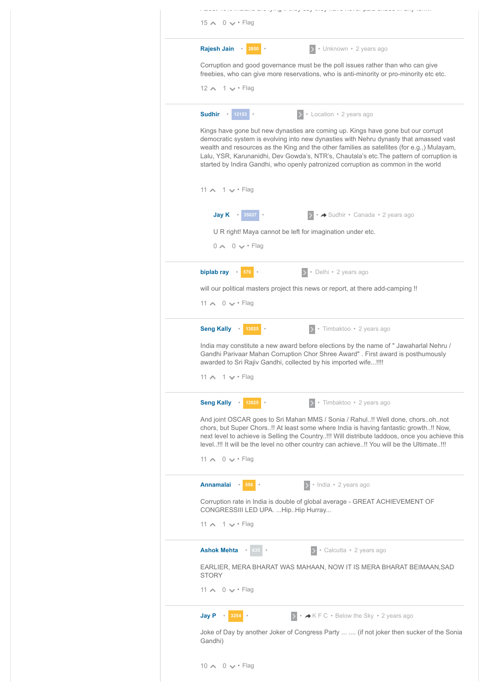| $15 \wedge 0 \vee \cdot$ Flag                                                                                                                                                                                                                                                                                                                                                                                                                            |
|----------------------------------------------------------------------------------------------------------------------------------------------------------------------------------------------------------------------------------------------------------------------------------------------------------------------------------------------------------------------------------------------------------------------------------------------------------|
| > • Unknown • 2 years ago<br>Rajesh Jain 2850                                                                                                                                                                                                                                                                                                                                                                                                            |
| Corruption and good governance must be the poll issues rather than who can give<br>freebies, who can give more reservations, who is anti-minority or pro-minority etc etc.                                                                                                                                                                                                                                                                               |
| $12 \wedge 1 \vee \cdot$ Flag                                                                                                                                                                                                                                                                                                                                                                                                                            |
| > • Location • 2 years ago<br>Sudhir •<br>12153                                                                                                                                                                                                                                                                                                                                                                                                          |
| Kings have gone but new dynasties are coming up. Kings have gone but our corrupt<br>democratic system is evolving into new dynasties with Nehru dynasty that amassed vast<br>wealth and resources as the King and the other families as satellites (for e.g.,) Mulayam,<br>Lalu, YSR, Karunanidhi, Dev Gowda's, NTR's, Chautala's etc. The pattern of corruption is<br>started by Indira Gandhi, who openly patronized corruption as common in the world |
| 11 $\land$ 1 $\lor$ Flag                                                                                                                                                                                                                                                                                                                                                                                                                                 |
| → Sudhir · Canada · 2 years ago<br>Jay K 35027 .                                                                                                                                                                                                                                                                                                                                                                                                         |
| U R right! Maya cannot be left for imagination under etc.                                                                                                                                                                                                                                                                                                                                                                                                |
| $0 \wedge 0 \vee \cdot$ Flag                                                                                                                                                                                                                                                                                                                                                                                                                             |
| > · Delhi · 2 years ago<br>biplab ray 570                                                                                                                                                                                                                                                                                                                                                                                                                |
| will our political masters project this news or report, at there add-camping !!                                                                                                                                                                                                                                                                                                                                                                          |
| $11 \wedge 0 \vee \cdot$ Flag                                                                                                                                                                                                                                                                                                                                                                                                                            |
| > Timbaktoo · 2 years ago<br><b>Seng Kally</b><br>13025                                                                                                                                                                                                                                                                                                                                                                                                  |
| India may constitute a new award before elections by the name of " Jawaharlal Nehru /<br>Gandhi Parivaar Mahan Corruption Chor Shree Award". First award is posthumously<br>awarded to Sri Rajiv Gandhi, collected by his imported wife!!!!                                                                                                                                                                                                              |
| 11 $\land$ 1 $\lor$ $\cdot$ Flag                                                                                                                                                                                                                                                                                                                                                                                                                         |
| > Timbaktoo · 2 years ago<br><b>Seng Kally</b><br>13025 0                                                                                                                                                                                                                                                                                                                                                                                                |
| And joint OSCAR goes to Sri Mahan MMS / Sonia / Rahul!! Well done, chorsohnot<br>chors, but Super Chors!! At least some where India is having fantastic growth!! Now,<br>next level to achieve is Selling the Country!!! Will distribute laddoos, once you achieve this<br>level!!! It will be the level no other country can achieve!! You will be the Ultimate!!!                                                                                      |
| 11 $\land$ 0 $\lor$ $\cdot$ Flag                                                                                                                                                                                                                                                                                                                                                                                                                         |
| · India · 2 years ago<br><b>Annamalai</b><br>556 0                                                                                                                                                                                                                                                                                                                                                                                                       |
| Corruption rate in India is double of global average - GREAT ACHIEVEMENT OF<br>CONGRESSIII LED UPA.  Hip. Hip Hurray                                                                                                                                                                                                                                                                                                                                     |
| 11 $\land$ 1 $\lor$ Flag                                                                                                                                                                                                                                                                                                                                                                                                                                 |
| Ashok Mehta . 835 .<br>> Calcutta · 2 years ago                                                                                                                                                                                                                                                                                                                                                                                                          |
| EARLIER, MERA BHARAT WAS MAHAAN, NOW IT IS MERA BHARAT BEIMAAN, SAD<br><b>STORY</b>                                                                                                                                                                                                                                                                                                                                                                      |
| 11 $\land$ 0 $\lor$ $\cdot$ Flag                                                                                                                                                                                                                                                                                                                                                                                                                         |
| $\triangleright$ $\cdot \blacktriangle K$ F C $\cdot$ Below the Sky $\cdot$ 2 years ago<br>Jay $P \t3254$                                                                                                                                                                                                                                                                                                                                                |
| Joke of Day by another Joker of Congress Party   (if not joker then sucker of the Sonia<br>Gandhi)                                                                                                                                                                                                                                                                                                                                                       |
| $10 \wedge 0 \vee \cdot$ Flag                                                                                                                                                                                                                                                                                                                                                                                                                            |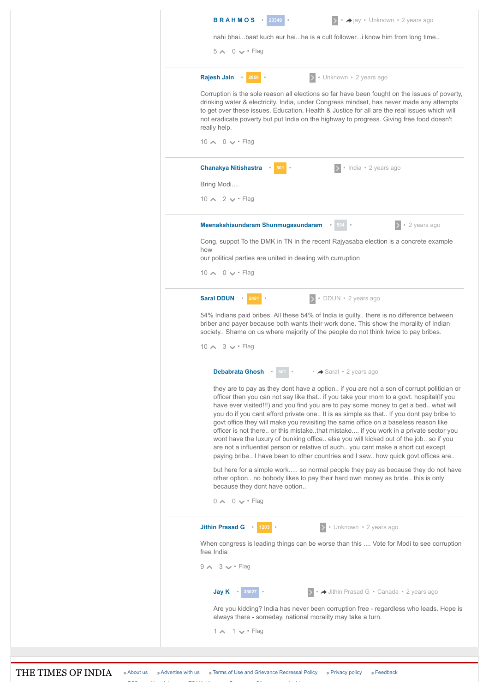| > • → jay • Unknown • 2 years ago<br><b>BRAHMOS</b><br>23349                                                                                                                                                                                                                                                                                                                                                                                                                                                                                                                                                                                                                                                                                                                                                        |  |
|---------------------------------------------------------------------------------------------------------------------------------------------------------------------------------------------------------------------------------------------------------------------------------------------------------------------------------------------------------------------------------------------------------------------------------------------------------------------------------------------------------------------------------------------------------------------------------------------------------------------------------------------------------------------------------------------------------------------------------------------------------------------------------------------------------------------|--|
| nahi bhaibaat kuch aur haihe is a cult followeri know him from long time                                                                                                                                                                                                                                                                                                                                                                                                                                                                                                                                                                                                                                                                                                                                            |  |
| $5 \wedge 0 \vee \cdot$ Flag                                                                                                                                                                                                                                                                                                                                                                                                                                                                                                                                                                                                                                                                                                                                                                                        |  |
| > Unknown • 2 years ago<br>Rajesh Jain<br>2850                                                                                                                                                                                                                                                                                                                                                                                                                                                                                                                                                                                                                                                                                                                                                                      |  |
| Corruption is the sole reason all elections so far have been fought on the issues of poverty,<br>drinking water & electricity. India, under Congress mindset, has never made any attempts<br>to get over these issues. Education, Health & Justice for all are the real issues which will<br>not eradicate poverty but put India on the highway to progress. Giving free food doesn't<br>really help.                                                                                                                                                                                                                                                                                                                                                                                                               |  |
| $10 \wedge 0 \vee \cdot$ Flag                                                                                                                                                                                                                                                                                                                                                                                                                                                                                                                                                                                                                                                                                                                                                                                       |  |
| <b>Chanakya Nitishastra</b><br>· India · 2 years ago<br>501                                                                                                                                                                                                                                                                                                                                                                                                                                                                                                                                                                                                                                                                                                                                                         |  |
| Bring Modi                                                                                                                                                                                                                                                                                                                                                                                                                                                                                                                                                                                                                                                                                                                                                                                                          |  |
| $10 \wedge 2 \vee \cdot$ Flag                                                                                                                                                                                                                                                                                                                                                                                                                                                                                                                                                                                                                                                                                                                                                                                       |  |
| Meenakshisundaram Shunmugasundaram<br>$- 504$<br>$\rightarrow$ $\cdot$ 2 years ago                                                                                                                                                                                                                                                                                                                                                                                                                                                                                                                                                                                                                                                                                                                                  |  |
| Cong. suppot To the DMK in TN in the recent Rajyasaba election is a concrete example                                                                                                                                                                                                                                                                                                                                                                                                                                                                                                                                                                                                                                                                                                                                |  |
| how<br>our political parties are united in dealing with curruption                                                                                                                                                                                                                                                                                                                                                                                                                                                                                                                                                                                                                                                                                                                                                  |  |
| $10 \wedge 0 \vee \cdot$ Flag                                                                                                                                                                                                                                                                                                                                                                                                                                                                                                                                                                                                                                                                                                                                                                                       |  |
| > · DDUN · 2 years ago<br><b>Saral DDUN</b><br>$\degree$ 2481                                                                                                                                                                                                                                                                                                                                                                                                                                                                                                                                                                                                                                                                                                                                                       |  |
| 54% Indians paid bribes. All these 54% of India is guilty there is no difference between<br>briber and payer because both wants their work done. This show the morality of Indian<br>society. Shame on us where majority of the people do not think twice to pay bribes.                                                                                                                                                                                                                                                                                                                                                                                                                                                                                                                                            |  |
| $10 \wedge 3 \vee \cdot$ Flag                                                                                                                                                                                                                                                                                                                                                                                                                                                                                                                                                                                                                                                                                                                                                                                       |  |
| Debabrata Ghosh .<br>• → Saral • 2 years ago<br>501                                                                                                                                                                                                                                                                                                                                                                                                                                                                                                                                                                                                                                                                                                                                                                 |  |
| they are to pay as they dont have a option if you are not a son of corrupt politician or<br>officer then you can not say like that if you take your mom to a govt. hospital(If you<br>have ever visited!!!) and you find you are to pay some money to get a bed what will<br>you do if you cant afford private one It is as simple as that If you dont pay bribe to<br>govt office they will make you revisiting the same office on a baseless reason like<br>officer is not there or this mistakethat mistake if you work in a private sector you<br>wont have the luxury of bunking office else you will kicked out of the job so if you<br>are not a influential person or relative of such you cant make a short cut except<br>paying bribe I have been to other countries and I saw how quick govt offices are |  |
| but here for a simple work so normal people they pay as because they do not have<br>other option no bobody likes to pay their hard own money as bride this is only<br>because they dont have option                                                                                                                                                                                                                                                                                                                                                                                                                                                                                                                                                                                                                 |  |
| $0 \wedge 0 \vee \cdot$ Flag                                                                                                                                                                                                                                                                                                                                                                                                                                                                                                                                                                                                                                                                                                                                                                                        |  |
| > Unknown • 2 years ago<br>Jithin Prasad G · 1203 ·                                                                                                                                                                                                                                                                                                                                                                                                                                                                                                                                                                                                                                                                                                                                                                 |  |
| When congress is leading things can be worse than this  Vote for Modi to see corruption<br>free India                                                                                                                                                                                                                                                                                                                                                                                                                                                                                                                                                                                                                                                                                                               |  |
| $9 \wedge 3 \vee \cdot$ Flag                                                                                                                                                                                                                                                                                                                                                                                                                                                                                                                                                                                                                                                                                                                                                                                        |  |
| → + Jithin Prasad G · Canada · 2 years ago<br>Jay K . 35027                                                                                                                                                                                                                                                                                                                                                                                                                                                                                                                                                                                                                                                                                                                                                         |  |
| Are you kidding? India has never been corruption free - regardless who leads. Hope is<br>always there - someday, national morality may take a turn.                                                                                                                                                                                                                                                                                                                                                                                                                                                                                                                                                                                                                                                                 |  |
| $1 \wedge 1 \vee \cdot$ Flag                                                                                                                                                                                                                                                                                                                                                                                                                                                                                                                                                                                                                                                                                                                                                                                        |  |